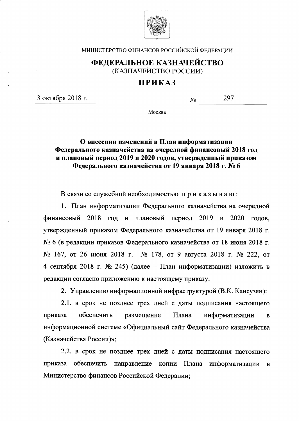

МИНИСТЕРСТВО ФИНАНСОВ РОССИЙСКОЙ ФЕДЕРАЦИИ

## ФЕДЕРАЛЬНОЕ КАЗНАЧЕЙСТВО (КАЗНАЧЕЙСТВО РОССИИ)

## ПРИКАЗ

3 октября 2018 г.

297  $N_2$ 

Москва

## О внесении изменений в План информатизации Федерального казначейства на очередной финансовый 2018 год и плановый период 2019 и 2020 годов, утвержденный приказом Федерального казначейства от 19 января 2018 г. № 6

В связи со служебной необходимостью приказываю:

1. План информатизации Федерального казначейства на очередной финансовый 2018 год и плановый период 2019 и 2020 годов, утвержденный приказом Федерального казначейства от 19 января 2018 г. № 6 (в редакции приказов Федерального казначейства от 18 июня 2018 г. № 167, от 26 июня 2018 г. № 178, от 9 августа 2018 г. № 222, от 4 сентября 2018 г. № 245) (далее - План информатизации) изложить в редакции согласно приложению к настоящему приказу.

2. Управлению информационной инфраструктурой (В.К. Кансузян):

2.1. в срок не позднее трех дней с даты подписания настоящего обеспечить приказа размещение Плана информатизации  $\mathbf{B}$ информационной системе «Официальный сайт Федерального казначейства (Казначейства России)»;

2.2. в срок не позднее трех дней с даты подписания настоящего приказа обеспечить направление копии Плана информатизации  $\mathbf{B}$ Министерство финансов Российской Федерации;